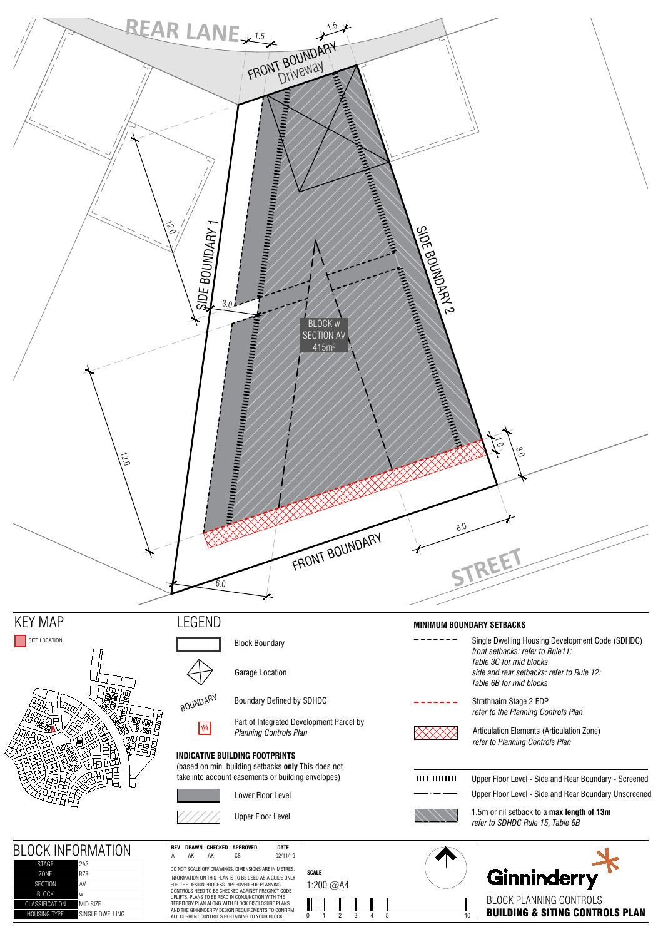